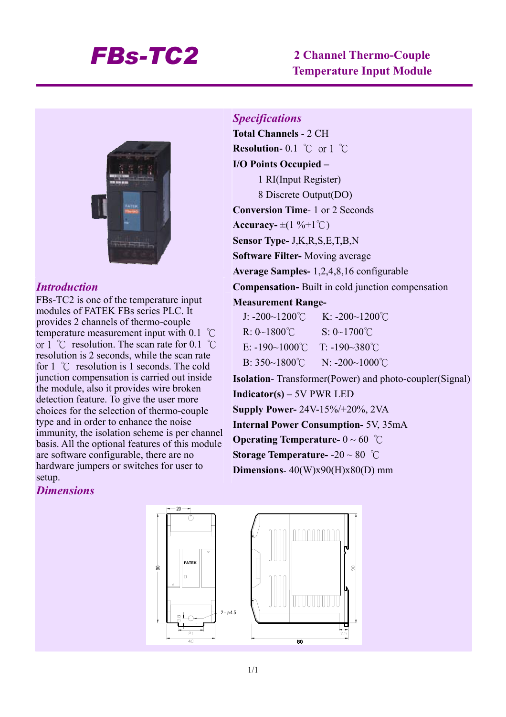# *FBs-TC2* **2 Channel Thermo-Couple Temperature Input Module**



### *Introduction*

FBs-TC2 is one of the temperature input modules of FATEK FBs series PLC. It provides 2 channels of thermo-couple temperature measurement input with 0.1 ℃ or 1 ℃ resolution. The scan rate for 0.1 ℃ resolution is 2 seconds, while the scan rate for 1 ℃ resolution is 1 seconds. The cold junction compensation is carried out inside the module, also it provides wire broken detection feature. To give the user more choices for the selection of thermo-couple type and in order to enhance the noise immunity, the isolation scheme is per channel basis. All the optional features of this module are software configurable, there are no hardware jumpers or switches for user to setup.

**Total Channels** - 2 CH **Resolution**- 0.1 ℃ or 1 ℃ **I/O Points Occupied –**  1 RI(Input Register) 8 Discrete Output(DO) **Conversion Time**- 1 or 2 Seconds  $\textbf{Accuracy} = \pm (1 \, \% + 1 \, ^{\circ}\text{C})$ **Sensor Type-** J,K,R,S,E,T,B,N **Software Filter-** Moving average **Average Samples-** 1,2,4,8,16 configurable

**Compensation-** Built in cold junction compensation

#### **Measurement Range-**

*Specifications* 

| J: $-200 \sim 1200^{\circ}$ C | K: $-200 - 1200^{\circ}$ C |
|-------------------------------|----------------------------|
| $R: 0~1800^{\circ}$ C         | $S: 0 \sim 1700^{\circ}C$  |
| E: $-190-1000^{\circ}$ C      | $T: -190 - 380^{\circ}$ C  |
| B: $350~1800^{\circ}$ C       | $N: -200 - 1000^{\circ}C$  |

**Isolation**- Transformer(Power) and photo-coupler(Signal) **Indicator(s) –** 5V PWR LED **Supply Power-** 24V-15%/+20%, 2VA **Internal Power Consumption-** 5V, 35mA **Operating Temperature-** 0 ~ 60 ℃ **Storage Temperature-** -20 ~ 80 ℃ **Dimensions**- 40(W)x90(H)x80(D) mm

### *Dimensions*

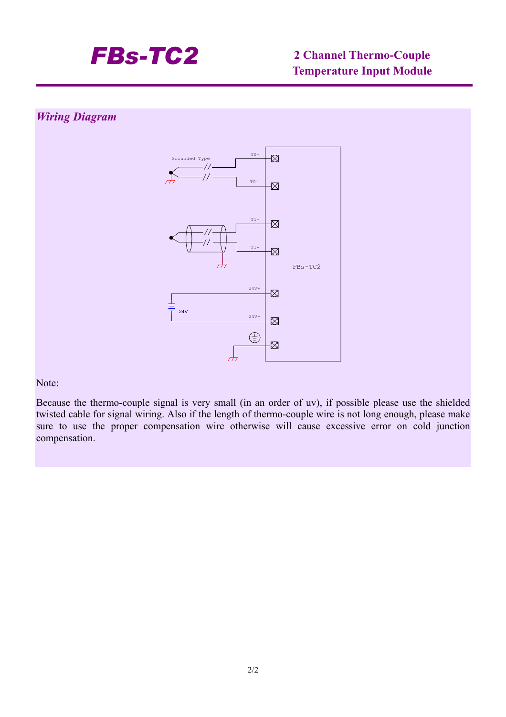

## *Wiring Diagram*



Note:

Because the thermo-couple signal is very small (in an order of uv), if possible please use the shielded twisted cable for signal wiring. Also if the length of thermo-couple wire is not long enough, please make sure to use the proper compensation wire otherwise will cause excessive error on cold junction compensation.